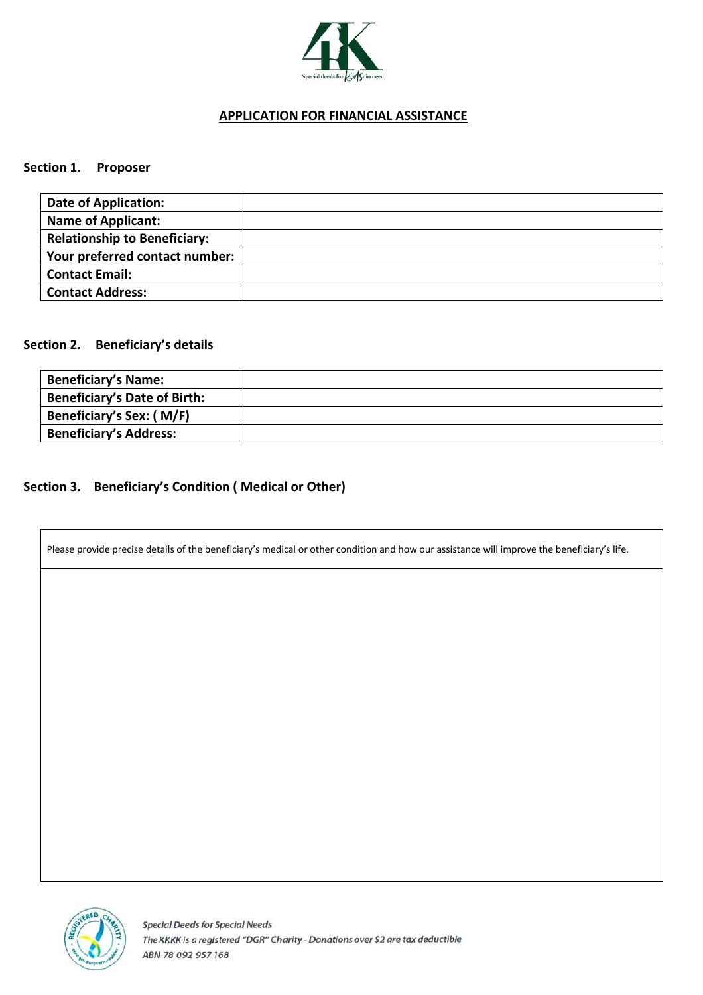

## **APPLICATION FOR FINANCIAL ASSISTANCE**

#### **Section 1. Proposer**

| <b>Date of Application:</b>         |  |
|-------------------------------------|--|
| <b>Name of Applicant:</b>           |  |
| <b>Relationship to Beneficiary:</b> |  |
| Your preferred contact number:      |  |
| <b>Contact Email:</b>               |  |
| <b>Contact Address:</b>             |  |

#### **Section 2. Beneficiary's details**

| <b>Beneficiary's Name:</b>          |  |
|-------------------------------------|--|
| <b>Beneficiary's Date of Birth:</b> |  |
| Beneficiary's Sex: (M/F)            |  |
| <b>Beneficiary's Address:</b>       |  |

## **Section 3. Beneficiary's Condition ( Medical or Other)**

Please provide precise details of the beneficiary's medical or other condition and how our assistance will improve the beneficiary's life.

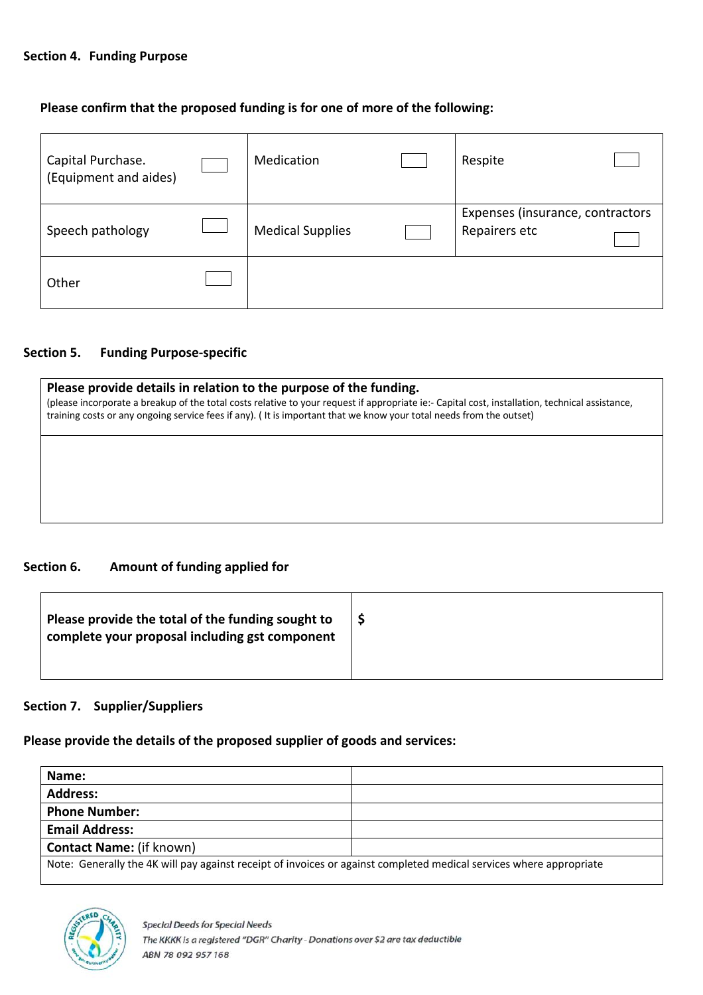#### **Section 4. Funding Purpose**

### **Please confirm that the proposed funding is for one of more of the following:**

| Capital Purchase.<br>(Equipment and aides) | Medication              | Respite                                           |
|--------------------------------------------|-------------------------|---------------------------------------------------|
| Speech pathology                           | <b>Medical Supplies</b> | Expenses (insurance, contractors<br>Repairers etc |
| Other                                      |                         |                                                   |

#### **Section 5. Funding Purpose-specific**

| Please provide details in relation to the purpose of the funding.<br>(please incorporate a breakup of the total costs relative to your request if appropriate ie:- Capital cost, installation, technical assistance,<br>training costs or any ongoing service fees if any). (It is important that we know your total needs from the outset) |  |  |
|---------------------------------------------------------------------------------------------------------------------------------------------------------------------------------------------------------------------------------------------------------------------------------------------------------------------------------------------|--|--|
|                                                                                                                                                                                                                                                                                                                                             |  |  |
|                                                                                                                                                                                                                                                                                                                                             |  |  |

### **Section 6. Amount of funding applied for**

| Please provide the total of the funding sought to<br>complete your proposal including gst component |  |
|-----------------------------------------------------------------------------------------------------|--|
|                                                                                                     |  |

# **Section 7. Supplier/Suppliers**

**Please provide the details of the proposed supplier of goods and services:**

| Name:                                                                                                               |  |  |
|---------------------------------------------------------------------------------------------------------------------|--|--|
| <b>Address:</b>                                                                                                     |  |  |
| <b>Phone Number:</b>                                                                                                |  |  |
| <b>Email Address:</b>                                                                                               |  |  |
| <b>Contact Name:</b> (if known)                                                                                     |  |  |
| Note: Generally the 4K will pay against receipt of invoices or against completed medical services where appropriate |  |  |